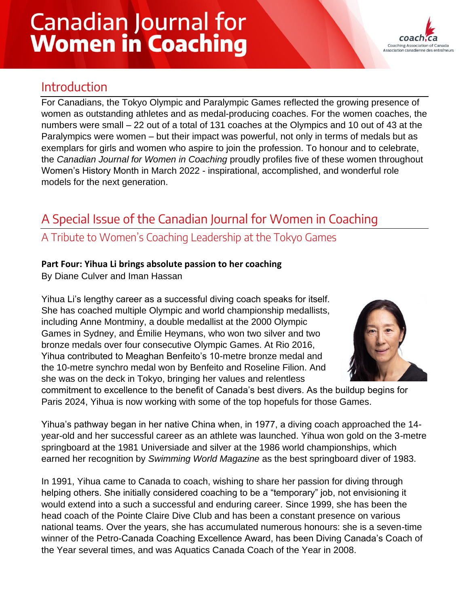# **Canadian Journal for Women in Coaching**



## Introduction

For Canadians, the Tokyo Olympic and Paralympic Games reflected the growing presence of women as outstanding athletes and as medal-producing coaches. For the women coaches, the numbers were small – 22 out of a total of 131 coaches at the Olympics and 10 out of 43 at the Paralympics were women – but their impact was powerful, not only in terms of medals but as exemplars for girls and women who aspire to join the profession. To honour and to celebrate, the *Canadian Journal for Women in Coaching* proudly profiles five of these women throughout Women's History Month in March 2022 - inspirational, accomplished, and wonderful role models for the next generation.

## A Special Issue of the Canadian Journal for Women in Coaching

### A Tribute to Women's Coaching Leadership at the Tokyo Games

#### **Part Four: Yihua Li brings absolute passion to her coaching**

By Diane Culver and Iman Hassan

Yihua Li's lengthy career as a successful diving coach speaks for itself. She has coached multiple Olympic and world championship medallists, including Anne Montminy, a double medallist at the 2000 Olympic Games in Sydney, and Émilie Heymans, who won two silver and two bronze medals over four consecutive Olympic Games. At Rio 2016, Yihua contributed to Meaghan Benfeito's 10-metre bronze medal and the 10-metre synchro medal won by Benfeito and Roseline Filion. And she was on the deck in Tokyo, bringing her values and relentless



commitment to excellence to the benefit of Canada's best divers. As the buildup begins for Paris 2024, Yihua is now working with some of the top hopefuls for those Games.

Yihua's pathway began in her native China when, in 1977, a diving coach approached the 14 year-old and her successful career as an athlete was launched. Yihua won gold on the 3-metre springboard at the 1981 Universiade and silver at the 1986 world championships, which earned her recognition by *Swimming World Magazine* as the best springboard diver of 1983.

In 1991, Yihua came to Canada to coach, wishing to share her passion for diving through helping others. She initially considered coaching to be a "temporary" job, not envisioning it would extend into a such a successful and enduring career. Since 1999, she has been the head coach of the Pointe Claire Dive Club and has been a constant presence on various national teams. Over the years, she has accumulated numerous honours: she is a seven-time winner of the Petro-Canada Coaching Excellence Award, has been Diving Canada's Coach of the Year several times, and was Aquatics Canada Coach of the Year in 2008.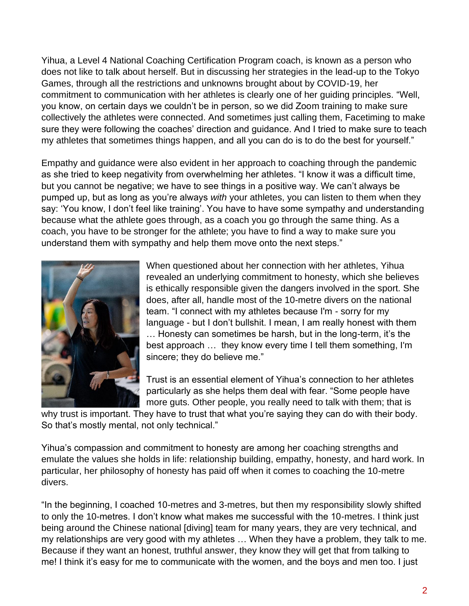Yihua, a Level 4 National Coaching Certification Program coach, is known as a person who does not like to talk about herself. But in discussing her strategies in the lead-up to the Tokyo Games, through all the restrictions and unknowns brought about by COVID-19, her commitment to communication with her athletes is clearly one of her guiding principles. "Well, you know, on certain days we couldn't be in person, so we did Zoom training to make sure collectively the athletes were connected. And sometimes just calling them, Facetiming to make sure they were following the coaches' direction and guidance. And I tried to make sure to teach my athletes that sometimes things happen, and all you can do is to do the best for yourself."

Empathy and guidance were also evident in her approach to coaching through the pandemic as she tried to keep negativity from overwhelming her athletes. "I know it was a difficult time, but you cannot be negative; we have to see things in a positive way. We can't always be pumped up, but as long as you're always *with* your athletes, you can listen to them when they say: 'You know, I don't feel like training'. You have to have some sympathy and understanding because what the athlete goes through, as a coach you go through the same thing. As a coach, you have to be stronger for the athlete; you have to find a way to make sure you understand them with sympathy and help them move onto the next steps."



When questioned about her connection with her athletes, Yihua revealed an underlying commitment to honesty, which she believes is ethically responsible given the dangers involved in the sport. She does, after all, handle most of the 10-metre divers on the national team. "I connect with my athletes because I'm - sorry for my language - but I don't bullshit. I mean, I am really honest with them … Honesty can sometimes be harsh, but in the long-term, it's the best approach … they know every time I tell them something, I'm sincere; they do believe me."

Trust is an essential element of Yihua's connection to her athletes particularly as she helps them deal with fear. "Some people have more guts. Other people, you really need to talk with them; that is

why trust is important. They have to trust that what you're saying they can do with their body. So that's mostly mental, not only technical."

Yihua's compassion and commitment to honesty are among her coaching strengths and emulate the values she holds in life: relationship building, empathy, honesty, and hard work. In particular, her philosophy of honesty has paid off when it comes to coaching the 10-metre divers.

"In the beginning, I coached 10-metres and 3-metres, but then my responsibility slowly shifted to only the 10-metres. I don't know what makes me successful with the 10-metres. I think just being around the Chinese national [diving] team for many years, they are very technical, and my relationships are very good with my athletes … When they have a problem, they talk to me. Because if they want an honest, truthful answer, they know they will get that from talking to me! I think it's easy for me to communicate with the women, and the boys and men too. I just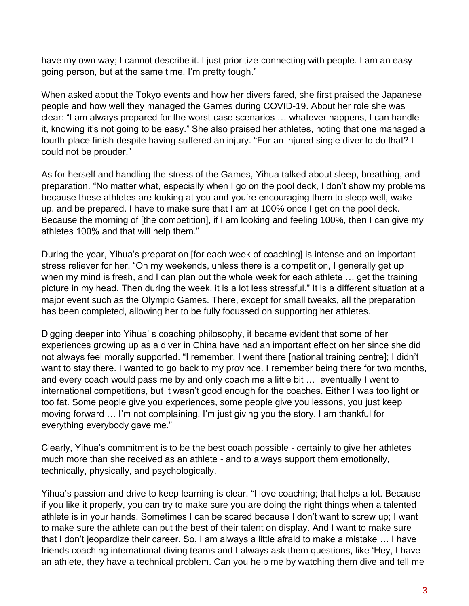have my own way; I cannot describe it. I just prioritize connecting with people. I am an easygoing person, but at the same time, I'm pretty tough."

When asked about the Tokyo events and how her divers fared, she first praised the Japanese people and how well they managed the Games during COVID-19. About her role she was clear: "I am always prepared for the worst-case scenarios … whatever happens, I can handle it, knowing it's not going to be easy." She also praised her athletes, noting that one managed a fourth-place finish despite having suffered an injury. "For an injured single diver to do that? I could not be prouder."

As for herself and handling the stress of the Games, Yihua talked about sleep, breathing, and preparation. "No matter what, especially when I go on the pool deck, I don't show my problems because these athletes are looking at you and you're encouraging them to sleep well, wake up, and be prepared. I have to make sure that I am at 100% once I get on the pool deck. Because the morning of [the competition], if I am looking and feeling 100%, then I can give my athletes 100% and that will help them."

During the year, Yihua's preparation [for each week of coaching] is intense and an important stress reliever for her. "On my weekends, unless there is a competition, I generally get up when my mind is fresh, and I can plan out the whole week for each athlete ... get the training picture in my head. Then during the week, it is a lot less stressful." It is a different situation at a major event such as the Olympic Games. There, except for small tweaks, all the preparation has been completed, allowing her to be fully focussed on supporting her athletes.

Digging deeper into Yihua' s coaching philosophy, it became evident that some of her experiences growing up as a diver in China have had an important effect on her since she did not always feel morally supported. "I remember, I went there [national training centre]; I didn't want to stay there. I wanted to go back to my province. I remember being there for two months, and every coach would pass me by and only coach me a little bit … eventually I went to international competitions, but it wasn't good enough for the coaches. Either I was too light or too fat. Some people give you experiences, some people give you lessons, you just keep moving forward … I'm not complaining, I'm just giving you the story. I am thankful for everything everybody gave me."

Clearly, Yihua's commitment is to be the best coach possible - certainly to give her athletes much more than she received as an athlete - and to always support them emotionally, technically, physically, and psychologically.

Yihua's passion and drive to keep learning is clear. "I love coaching; that helps a lot. Because if you like it properly, you can try to make sure you are doing the right things when a talented athlete is in your hands. Sometimes I can be scared because I don't want to screw up; I want to make sure the athlete can put the best of their talent on display. And I want to make sure that I don't jeopardize their career. So, I am always a little afraid to make a mistake … I have friends coaching international diving teams and I always ask them questions, like 'Hey, I have an athlete, they have a technical problem. Can you help me by watching them dive and tell me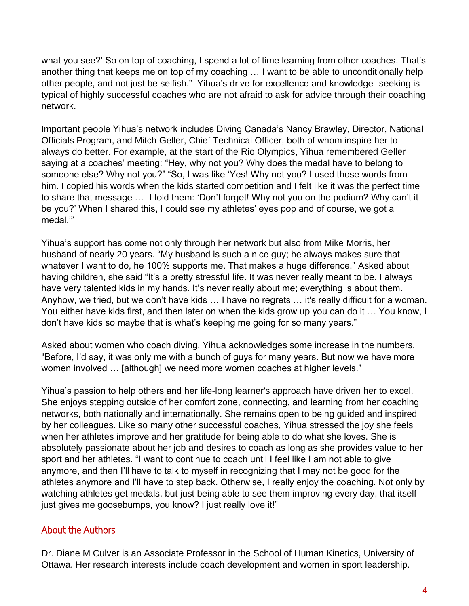what you see?' So on top of coaching, I spend a lot of time learning from other coaches. That's another thing that keeps me on top of my coaching … I want to be able to unconditionally help other people, and not just be selfish." Yihua's drive for excellence and knowledge- seeking is typical of highly successful coaches who are not afraid to ask for advice through their coaching network.

Important people Yihua's network includes Diving Canada's Nancy Brawley, Director, National Officials Program, and Mitch Geller, Chief Technical Officer, both of whom inspire her to always do better. For example, at the start of the Rio Olympics, Yihua remembered Geller saying at a coaches' meeting: "Hey, why not you? Why does the medal have to belong to someone else? Why not you?" "So, I was like 'Yes! Why not you? I used those words from him. I copied his words when the kids started competition and I felt like it was the perfect time to share that message … I told them: 'Don't forget! Why not you on the podium? Why can't it be you?' When I shared this, I could see my athletes' eyes pop and of course, we got a medal.'"

Yihua's support has come not only through her network but also from Mike Morris, her husband of nearly 20 years. "My husband is such a nice guy; he always makes sure that whatever I want to do, he 100% supports me. That makes a huge difference." Asked about having children, she said "It's a pretty stressful life. It was never really meant to be. I always have very talented kids in my hands. It's never really about me; everything is about them. Anyhow, we tried, but we don't have kids … I have no regrets … it's really difficult for a woman. You either have kids first, and then later on when the kids grow up you can do it … You know, I don't have kids so maybe that is what's keeping me going for so many years."

Asked about women who coach diving, Yihua acknowledges some increase in the numbers. "Before, I'd say, it was only me with a bunch of guys for many years. But now we have more women involved … [although] we need more women coaches at higher levels."

Yihua's passion to help others and her life-long learner's approach have driven her to excel. She enjoys stepping outside of her comfort zone, connecting, and learning from her coaching networks, both nationally and internationally. She remains open to being guided and inspired by her colleagues. Like so many other successful coaches, Yihua stressed the joy she feels when her athletes improve and her gratitude for being able to do what she loves. She is absolutely passionate about her job and desires to coach as long as she provides value to her sport and her athletes. "I want to continue to coach until I feel like I am not able to give anymore, and then I'll have to talk to myself in recognizing that I may not be good for the athletes anymore and I'll have to step back. Otherwise, I really enjoy the coaching. Not only by watching athletes get medals, but just being able to see them improving every day, that itself just gives me goosebumps, you know? I just really love it!"

#### About the Authors

Dr. Diane M Culver is an Associate Professor in the School of Human Kinetics, University of Ottawa. Her research interests include coach development and women in sport leadership.